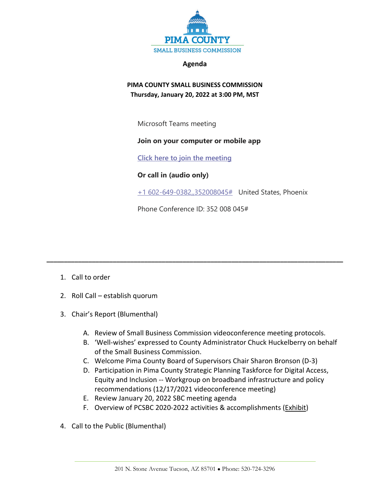

#### **Agenda**

# **PIMA COUNTY SMALL BUSINESS COMMISSION Thursday, January 20, 2022 at 3:00 PM, MST**

Microsoft Teams meeting

## **Join on your computer or mobile app**

**[Click here to join the meeting](https://teams.microsoft.com/l/meetup-join/19%3ameeting_NDU0OTYyOTUtNTA5OC00Mzg3LWEwNDYtZTRhYTdjOGU4NjE3%40thread.v2/0?context=%7b%22Tid%22%3a%2233b6e2c3-0b1a-4879-b741-47461a6c1a89%22%2c%22Oid%22%3a%22c8e42fc0-da56-4d64-b5c6-6be70931590e%22%7d)**

## **Or call in (audio only)**

[+1 602-649-0382,,352008045#](tel:+16026490382,,352008045#%20) United States, Phoenix

Phone Conference ID: 352 008 045#

**\_\_\_\_\_\_\_\_\_\_\_\_\_\_\_\_\_\_\_\_\_\_\_\_\_\_\_\_\_\_\_\_\_\_\_\_\_\_\_\_\_\_\_\_\_\_\_\_\_\_\_\_\_\_\_\_\_\_\_\_\_\_\_\_\_\_\_\_\_\_\_\_\_\_\_\_\_\_\_\_\_\_\_\_\_**

- 1. Call to order
- 2. Roll Call establish quorum
- 3. Chair's Report (Blumenthal)
	- A. Review of Small Business Commission videoconference meeting protocols.
	- B. 'Well-wishes' expressed to County Administrator Chuck Huckelberry on behalf of the Small Business Commission.
	- C. Welcome Pima County Board of Supervisors Chair Sharon Bronson (D-3)
	- D. Participation in Pima County Strategic Planning Taskforce for Digital Access, Equity and Inclusion -- Workgroup on broadband infrastructure and policy recommendations (12/17/2021 videoconference meeting)
	- E. Review January 20, 2022 SBC meeting agenda
	- F. Overview of PCSBC 2020-2022 activities & accomplishments (Exhibit)
- 4. Call to the Public (Blumenthal)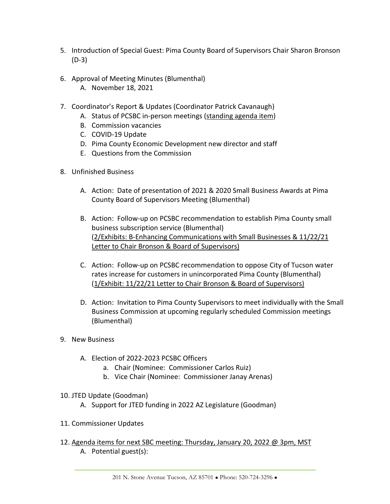- 5. Introduction of Special Guest: Pima County Board of Supervisors Chair Sharon Bronson (D-3)
- 6. Approval of Meeting Minutes (Blumenthal)
	- A. November 18, 2021
- 7. Coordinator's Report & Updates (Coordinator Patrick Cavanaugh)
	- A. Status of PCSBC in-person meetings (standing agenda item)
	- B. Commission vacancies
	- C. COVID-19 Update
	- D. Pima County Economic Development new director and staff
	- E. Questions from the Commission
- 8. Unfinished Business
	- A. Action: Date of presentation of 2021 & 2020 Small Business Awards at Pima County Board of Supervisors Meeting (Blumenthal)
	- B. Action: Follow-up on PCSBC recommendation to establish Pima County small business subscription service (Blumenthal) (2/Exhibits: B-Enhancing Communications with Small Businesses & 11/22/21 Letter to Chair Bronson & Board of Supervisors)
	- C. Action: Follow-up on PCSBC recommendation to oppose City of Tucson water rates increase for customers in unincorporated Pima County (Blumenthal) (1/Exhibit: 11/22/21 Letter to Chair Bronson & Board of Supervisors)
	- D. Action: Invitation to Pima County Supervisors to meet individually with the Small Business Commission at upcoming regularly scheduled Commission meetings (Blumenthal)
- 9. New Business
	- A. Election of 2022-2023 PCSBC Officers
		- a. Chair (Nominee: Commissioner Carlos Ruiz)
		- b. Vice Chair (Nominee: Commissioner Janay Arenas)
- 10. JTED Update (Goodman)
	- A. Support for JTED funding in 2022 AZ Legislature (Goodman)
- 11. Commissioner Updates
- 12. Agenda items for next SBC meeting: Thursday, January 20, 2022 @ 3pm, MST A. Potential guest(s):